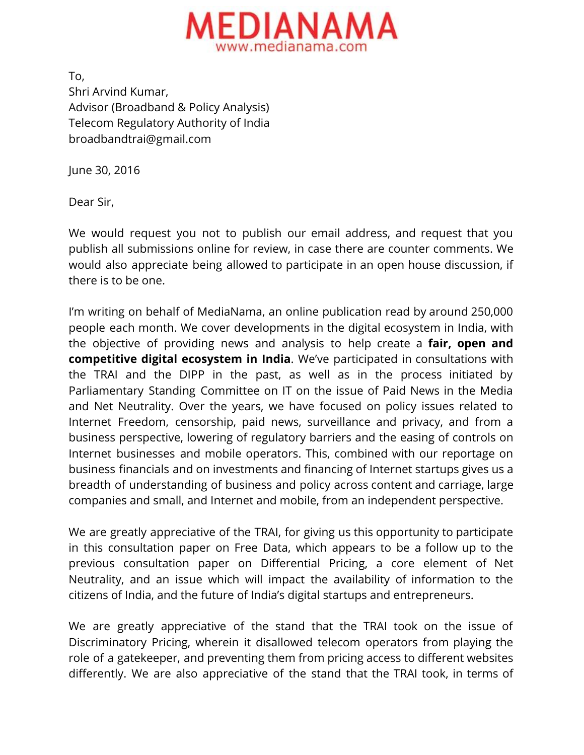

To, Shri Arvind Kumar, Advisor (Broadband & Policy Analysis) Telecom Regulatory Authority of India broadbandtrai@gmail.com

June 30, 2016

Dear Sir,

We would request you not to publish our email address, and request that you publish all submissions online for review, in case there are counter comments. We would also appreciate being allowed to participate in an open house discussion, if there is to be one.

I'm writing on behalf of MediaNama, an online publication read by around 250,000 people each month. We cover developments in the digital ecosystem in India, with the objective of providing news and analysis to help create a **fair, open and competitive digital ecosystem in India**. We've participated in consultations with the TRAI and the DIPP in the past, as well as in the process initiated by Parliamentary Standing Committee on IT on the issue of Paid News in the Media and Net Neutrality. Over the years, we have focused on policy issues related to Internet Freedom, censorship, paid news, surveillance and privacy, and from a business perspective, lowering of regulatory barriers and the easing of controls on Internet businesses and mobile operators. This, combined with our reportage on business financials and on investments and financing of Internet startups gives us a breadth of understanding of business and policy across content and carriage, large companies and small, and Internet and mobile, from an independent perspective.

We are greatly appreciative of the TRAI, for giving us this opportunity to participate in this consultation paper on Free Data, which appears to be a follow up to the previous consultation paper on Differential Pricing, a core element of Net Neutrality, and an issue which will impact the availability of information to the citizens of India, and the future of India's digital startups and entrepreneurs.

We are greatly appreciative of the stand that the TRAI took on the issue of Discriminatory Pricing, wherein it disallowed telecom operators from playing the role of a gatekeeper, and preventing them from pricing access to different websites differently. We are also appreciative of the stand that the TRAI took, in terms of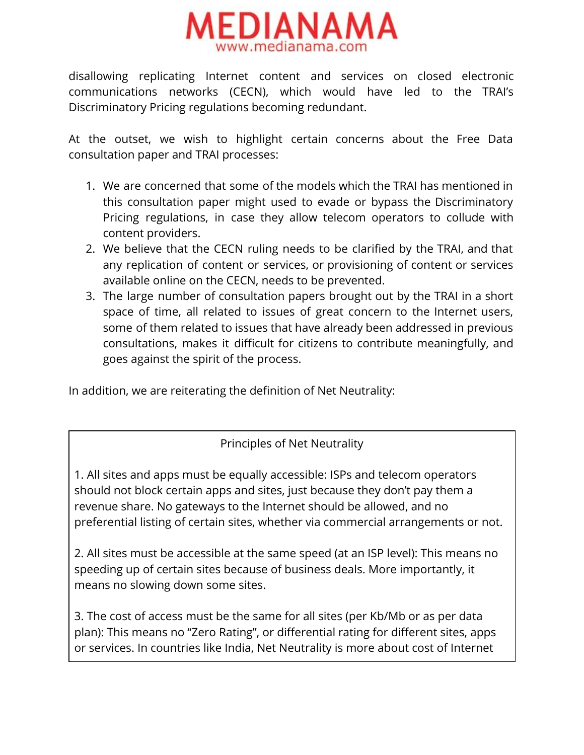

disallowing replicating Internet content and services on closed electronic communications networks (CECN), which would have led to the TRAI's Discriminatory Pricing regulations becoming redundant.

At the outset, we wish to highlight certain concerns about the Free Data consultation paper and TRAI processes:

- 1. We are concerned that some of the models which the TRAI has mentioned in this consultation paper might used to evade or bypass the Discriminatory Pricing regulations, in case they allow telecom operators to collude with content providers.
- 2. We believe that the CECN ruling needs to be clarified by the TRAI, and that any replication of content or services, or provisioning of content or services available online on the CECN, needs to be prevented.
- 3. The large number of consultation papers brought out by the TRAI in a short space of time, all related to issues of great concern to the Internet users, some of them related to issues that have already been addressed in previous consultations, makes it difficult for citizens to contribute meaningfully, and goes against the spirit of the process.

In addition, we are reiterating the definition of Net Neutrality:

Principles of Net Neutrality

1. All sites and apps must be equally accessible: ISPs and telecom operators should not block certain apps and sites, just because they don't pay them a revenue share. No gateways to the Internet should be allowed, and no preferential listing of certain sites, whether via commercial arrangements or not.

2. All sites must be accessible at the same speed (at an ISP level): This means no speeding up of certain sites because of business deals. More importantly, it means no slowing down some sites.

3. The cost of access must be the same for all sites (per Kb/Mb or as per data plan): This means no "Zero Rating", or differential rating for different sites, apps or services. In countries like India, Net Neutrality is more about cost of Internet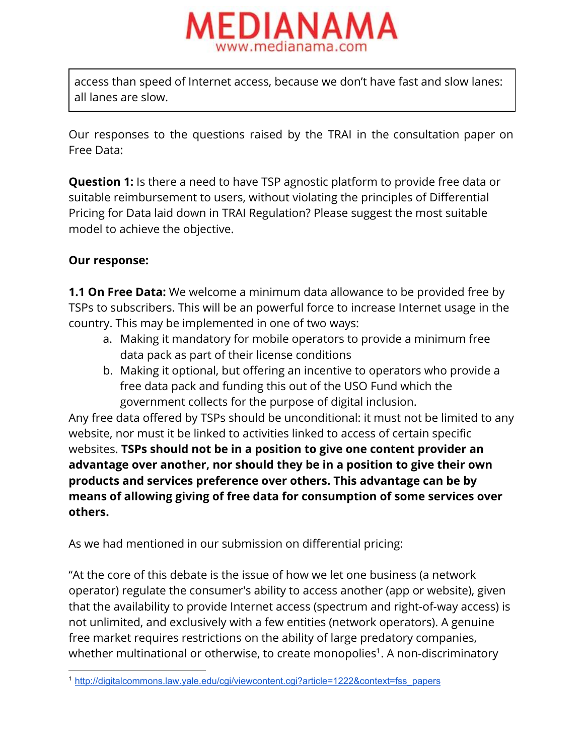

access than speed of Internet access, because we don't have fast and slow lanes: all lanes are slow.

Our responses to the questions raised by the TRAI in the consultation paper on Free Data:

**Question 1:** Is there a need to have TSP agnostic platform to provide free data or suitable reimbursement to users, without violating the principles of Differential Pricing for Data laid down in TRAI Regulation? Please suggest the most suitable model to achieve the objective.

### **Our response:**

**1.1 On Free Data:**We welcome a minimum data allowance to be provided free by TSPs to subscribers. This will be an powerful force to increase Internet usage in the country. This may be implemented in one of two ways:

- a. Making it mandatory for mobile operators to provide a minimum free data pack as part of their license conditions
- b. Making it optional, but offering an incentive to operators who provide a free data pack and funding this out of the USO Fund which the government collects for the purpose of digital inclusion.

Any free data offered by TSPs should be unconditional: it must not be limited to any website, nor must it be linked to activities linked to access of certain specific websites. **TSPs should not be in a position to give one content provider an advantage over another, nor should they be in a position to give their own products and services preference over others. This advantage can be by means of allowing giving of free data for consumption of some services over others.**

As we had mentioned in our submission on differential pricing:

"At the core of this debate is the issue of how we let one business (a network operator) regulate the consumer's ability to access another (app or website), given that the availability to provide Internet access (spectrum and right-of-way access) is not unlimited, and exclusively with a few entities (network operators). A genuine free market requires restrictions on the ability of large predatory companies, whether multinational or otherwise, to create monopolies $^{\rm 1}.$  A non-discriminatory

<sup>1</sup> [http://digitalcommons.law.yale.edu/cgi/viewcontent.cgi?article=1222&context=fss\\_papers](http://digitalcommons.law.yale.edu/cgi/viewcontent.cgi?article=1222&context=fss_papers)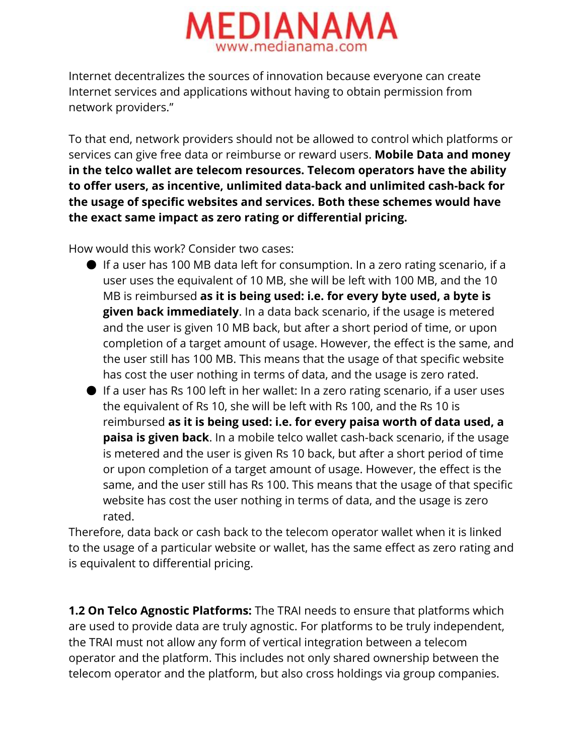

Internet decentralizes the sources of innovation because everyone can create Internet services and applications without having to obtain permission from network providers."

To that end, network providers should not be allowed to control which platforms or services can give free data or reimburse or reward users. **Mobile Data and money in the telco wallet are telecom resources. Telecom operators have the ability to offer users, as incentive, unlimited data-back and unlimited cash-back for the usage of specific websites and services. Both these schemes would have the exact same impact as zero rating or differential pricing.**

How would this work? Consider two cases:

- If a user has 100 MB data left for consumption. In a zero rating scenario, if a user uses the equivalent of 10 MB, she will be left with 100 MB, and the 10 MB is reimbursed **as it is being used: i.e. for every byte used, a byte is given back immediately**. In a data back scenario, if the usage is metered and the user is given 10 MB back, but after a short period of time, or upon completion of a target amount of usage. However, the effect is the same, and the user still has 100 MB. This means that the usage of that specific website has cost the user nothing in terms of data, and the usage is zero rated.
- If a user has Rs 100 left in her wallet: In a zero rating scenario, if a user uses the equivalent of Rs 10, she will be left with Rs 100, and the Rs 10 is reimbursed **as it is being used: i.e. for every paisa worth of data used, a paisa is given back**. In a mobile telco wallet cash-back scenario, if the usage is metered and the user is given Rs 10 back, but after a short period of time or upon completion of a target amount of usage. However, the effect is the same, and the user still has Rs 100. This means that the usage of that specific website has cost the user nothing in terms of data, and the usage is zero rated.

Therefore, data back or cash back to the telecom operator wallet when it is linked to the usage of a particular website or wallet, has the same effect as zero rating and is equivalent to differential pricing.

**1.2 On Telco Agnostic Platforms:**The TRAI needs to ensure that platforms which are used to provide data are truly agnostic. For platforms to be truly independent, the TRAI must not allow any form of vertical integration between a telecom operator and the platform. This includes not only shared ownership between the telecom operator and the platform, but also cross holdings via group companies.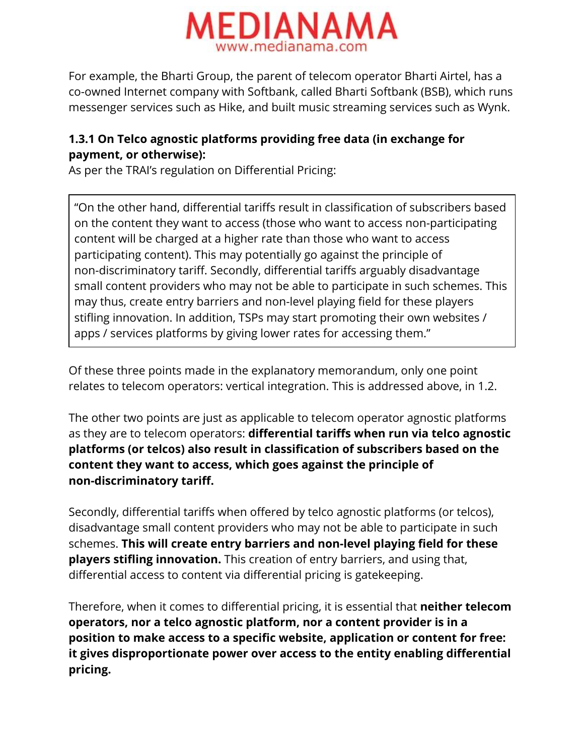

For example, the Bharti Group, the parent of telecom operator Bharti Airtel, has a co-owned Internet company with Softbank, called Bharti Softbank (BSB), which runs messenger services such as Hike, and built music streaming services such as Wynk.

# **1.3.1 On Telco agnostic platforms providing free data (in exchange for payment, or otherwise):**

As per the TRAI's regulation on Differential Pricing:

"On the other hand, differential tariffs result in classification of subscribers based on the content they want to access (those who want to access non-participating content will be charged at a higher rate than those who want to access participating content). This may potentially go against the principle of non-discriminatory tariff. Secondly, differential tariffs arguably disadvantage small content providers who may not be able to participate in such schemes. This may thus, create entry barriers and non-level playing field for these players stifling innovation. In addition, TSPs may start promoting their own websites / apps / services platforms by giving lower rates for accessing them."

Of these three points made in the explanatory memorandum, only one point relates to telecom operators: vertical integration. This is addressed above, in 1.2.

The other two points are just as applicable to telecom operator agnostic platforms as they are to telecom operators: **differential tariffs when run via telco agnostic platforms (or telcos) also result in classification of subscribers based on the content they want to access, which goes against the principle of non-discriminatory tariff.**

Secondly, differential tariffs when offered by telco agnostic platforms (or telcos), disadvantage small content providers who may not be able to participate in such schemes. **This will create entry barriers and non-level playing field for these players stifling innovation.**This creation of entry barriers, and using that, differential access to content via differential pricing is gatekeeping.

Therefore, when it comes to differential pricing, it is essential that **neither telecom operators, nor a telco agnostic platform, nor a content provider is in a position to make access to a specific website, application or content for free: it gives disproportionate power over access to the entity enabling differential pricing.**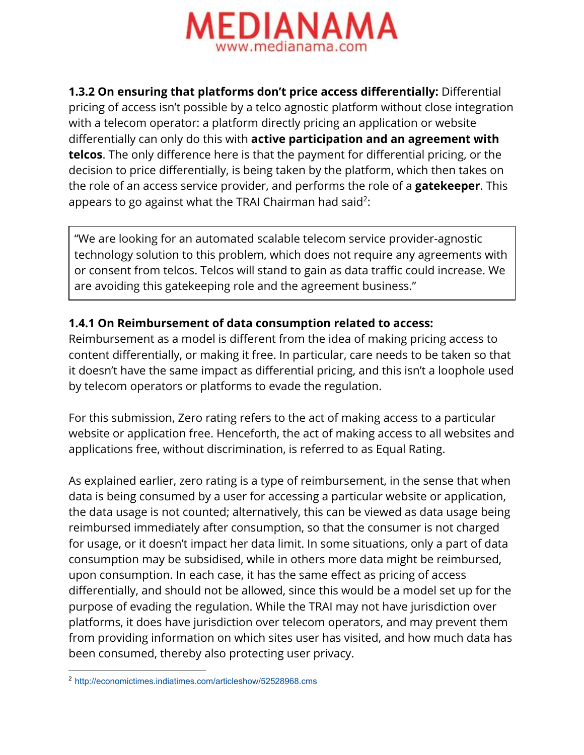

**1.3.2 On ensuring that platforms don't price access differentially:**Differential pricing of access isn't possible by a telco agnostic platform without close integration with a telecom operator: a platform directly pricing an application or website differentially can only do this with **active participation and an agreement with telcos**. The only difference here is that the payment for differential pricing, or the decision to price differentially, is being taken by the platform, which then takes on the role of an access service provider, and performs the role of a **gatekeeper**. This appears to go against what the TRAI Chairman had said<sup>2</sup>:

"We are looking for an automated scalable telecom service provider-agnostic technology solution to this problem, which does not require any agreements with or consent from telcos. Telcos will stand to gain as data traffic could increase. We are avoiding this gatekeeping role and the agreement business."

## **1.4.1 On Reimbursement of data consumption related to access:**

Reimbursement as a model is different from the idea of making pricing access to content differentially, or making it free. In particular, care needs to be taken so that it doesn't have the same impact as differential pricing, and this isn't a loophole used by telecom operators or platforms to evade the regulation.

For this submission, Zero rating refers to the act of making access to a particular website or application free. Henceforth, the act of making access to all websites and applications free, without discrimination, is referred to as Equal Rating.

As explained earlier, zero rating is a type of reimbursement, in the sense that when data is being consumed by a user for accessing a particular website or application, the data usage is not counted; alternatively, this can be viewed as data usage being reimbursed immediately after consumption, so that the consumer is not charged for usage, or it doesn't impact her data limit. In some situations, only a part of data consumption may be subsidised, while in others more data might be reimbursed, upon consumption. In each case, it has the same effect as pricing of access differentially, and should not be allowed, since this would be a model set up for the purpose of evading the regulation. While the TRAI may not have jurisdiction over platforms, it does have jurisdiction over telecom operators, and may prevent them from providing information on which sites user has visited, and how much data has been consumed, thereby also protecting user privacy.

<sup>2</sup> [http://economictimes.indiatimes.com/articleshow/52528968.cms](http://economictimes.indiatimes.com/articleshow/52528968.cms?utm_source=contentofinterest&utm_medium=text&utm_campaign=cppst)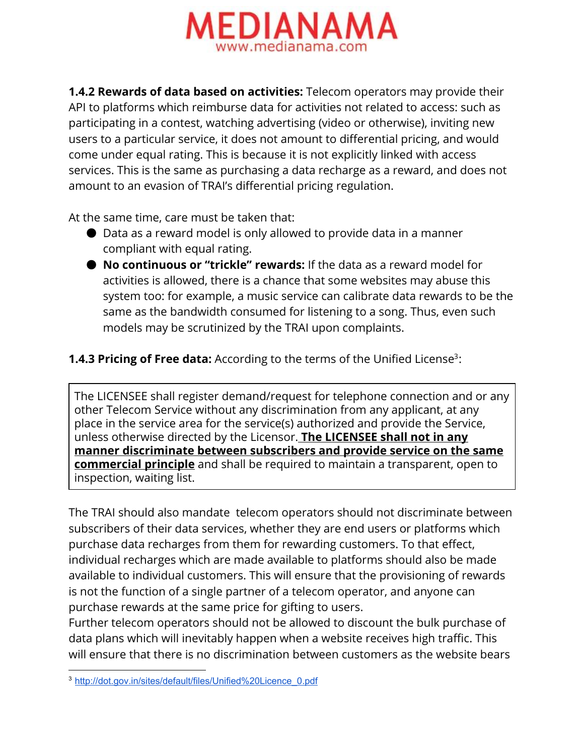

**1.4.2 Rewards of data based on activities:**Telecom operators may provide their API to platforms which reimburse data for activities not related to access: such as participating in a contest, watching advertising (video or otherwise), inviting new users to a particular service, it does not amount to differential pricing, and would come under equal rating. This is because it is not explicitly linked with access services. This is the same as purchasing a data recharge as a reward, and does not amount to an evasion of TRAI's differential pricing regulation.

At the same time, care must be taken that:

- Data as a reward model is only allowed to provide data in a manner compliant with equal rating.
- **No continuous or "trickle" rewards:**If the data as a reward model for activities is allowed, there is a chance that some websites may abuse this system too: for example, a music service can calibrate data rewards to be the same as the bandwidth consumed for listening to a song. Thus, even such models may be scrutinized by the TRAI upon complaints.
- **1.4.3 Pricing of Free data:** According to the terms of the Unified License<sup>3</sup>:

The LICENSEE shall register demand/request for telephone connection and or any other Telecom Service without any discrimination from any applicant, at any place in the service area for the service(s) authorized and provide the Service, unless otherwise directed by the Licensor. **The LICENSEE shall not in any manner discriminate between subscribers and provide service on the same commercial principle** and shall be required to maintain a transparent, open to inspection, waiting list.

The TRAI should also mandate telecom operators should not discriminate between subscribers of their data services, whether they are end users or platforms which purchase data recharges from them for rewarding customers. To that effect, individual recharges which are made available to platforms should also be made available to individual customers. This will ensure that the provisioning of rewards is not the function of a single partner of a telecom operator, and anyone can purchase rewards at the same price for gifting to users.

Further telecom operators should not be allowed to discount the bulk purchase of data plans which will inevitably happen when a website receives high traffic. This will ensure that there is no discrimination between customers as the website bears

<sup>3</sup> [http://dot.gov.in/sites/default/files/Unified%20Licence\\_0.pdf](http://dot.gov.in/sites/default/files/Unified%20Licence_0.pdf)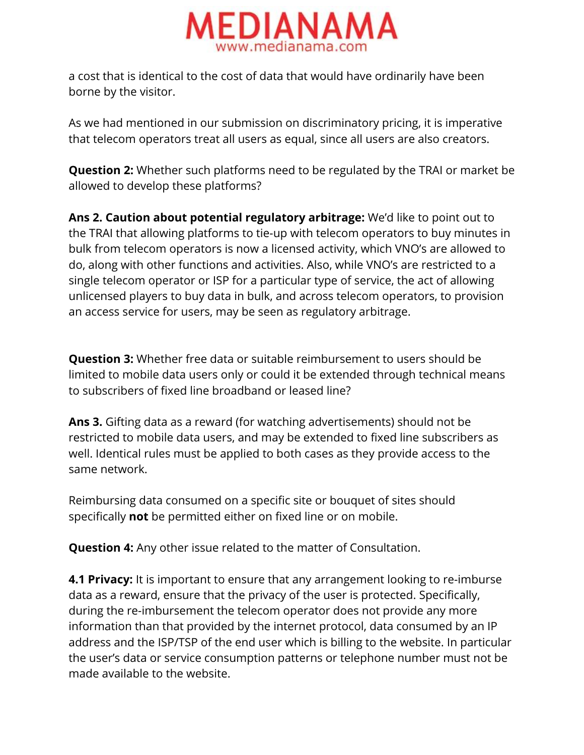

a cost that is identical to the cost of data that would have ordinarily have been borne by the visitor.

As we had mentioned in our submission on discriminatory pricing, it is imperative that telecom operators treat all users as equal, since all users are also creators.

**Question 2:** Whether such platforms need to be regulated by the TRAI or market be allowed to develop these platforms?

**Ans 2. Caution about potential regulatory arbitrage:**We'd like to point out to the TRAI that allowing platforms to tie-up with telecom operators to buy minutes in bulk from telecom operators is now a licensed activity, which VNO's are allowed to do, along with other functions and activities. Also, while VNO's are restricted to a single telecom operator or ISP for a particular type of service, the act of allowing unlicensed players to buy data in bulk, and across telecom operators, to provision an access service for users, may be seen as regulatory arbitrage.

**Question 3:**Whether free data or suitable reimbursement to users should be limited to mobile data users only or could it be extended through technical means to subscribers of fixed line broadband or leased line?

**Ans 3.** Gifting data as a reward (for watching advertisements) should not be restricted to mobile data users, and may be extended to fixed line subscribers as well. Identical rules must be applied to both cases as they provide access to the same network.

Reimbursing data consumed on a specific site or bouquet of sites should specifically **not** be permitted either on fixed line or on mobile.

**Question 4:** Any other issue related to the matter of Consultation.

**4.1 Privacy:** It is important to ensure that any arrangement looking to re-imburse data as a reward, ensure that the privacy of the user is protected. Specifically, during the re-imbursement the telecom operator does not provide any more information than that provided by the internet protocol, data consumed by an IP address and the ISP/TSP of the end user which is billing to the website. In particular the user's data or service consumption patterns or telephone number must not be made available to the website.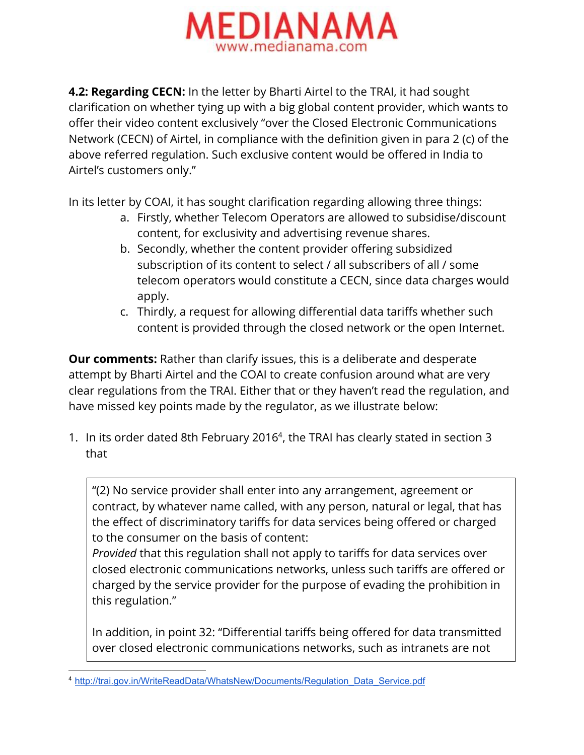

**4.2: Regarding CECN:**In the letter by Bharti Airtel to the TRAI, it had sought clarification on whether tying up with a big global content provider, which wants to offer their video content exclusively "over the Closed Electronic Communications Network (CECN) of Airtel, in compliance with the definition given in para 2 (c) of the above referred regulation. Such exclusive content would be offered in India to Airtel's customers only."

In its letter by COAI, it has sought clarification regarding allowing three things:

- a. Firstly, whether Telecom Operators are allowed to subsidise/discount content, for exclusivity and advertising revenue shares.
- b. Secondly, whether the content provider offering subsidized subscription of its content to select / all subscribers of all / some telecom operators would constitute a CECN, since data charges would apply.
- c. Thirdly, a request for allowing differential data tariffs whether such content is provided through the closed network or the open Internet.

**Our comments:** Rather than clarify issues, this is a deliberate and desperate attempt by Bharti Airtel and the COAI to create confusion around what are very clear regulations from the TRAI. Either that or they haven't read the regulation, and have missed key points made by the regulator, as we illustrate below:

1. In its order dated 8th February 2016<sup>4</sup>, the TRAI has clearly stated in section 3 that

"(2) No service provider shall enter into any arrangement, agreement or contract, by whatever name called, with any person, natural or legal, that has the effect of discriminatory tariffs for data services being offered or charged to the consumer on the basis of content:

*Provided* that this regulation shall not apply to tariffs for data services over closed electronic communications networks, unless such tariffs are offered or charged by the service provider for the purpose of evading the prohibition in this regulation."

In addition, in point 32: "Differential tariffs being offered for data transmitted over closed electronic communications networks, such as intranets are not

<sup>4</sup> [http://trai.gov.in/WriteReadData/WhatsNew/Documents/Regulation\\_Data\\_Service.pdf](http://trai.gov.in/WriteReadData/WhatsNew/Documents/Regulation_Data_Service.pdf)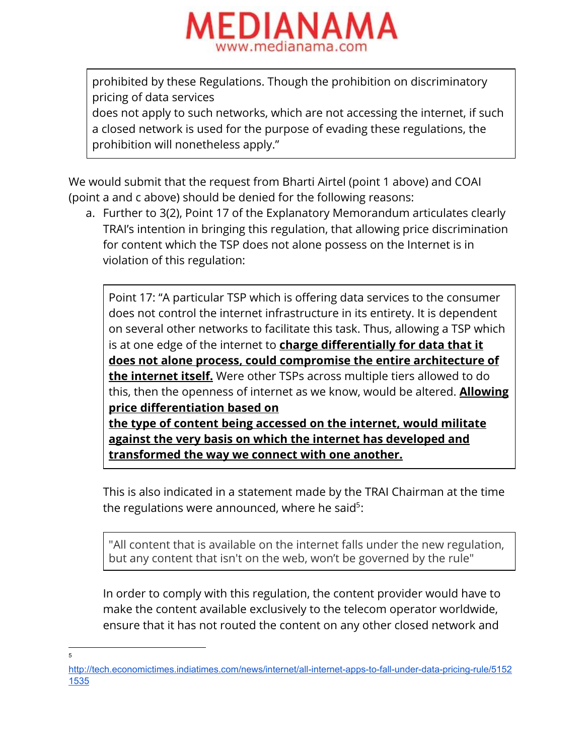

prohibited by these Regulations. Though the prohibition on discriminatory pricing of data services

does not apply to such networks, which are not accessing the internet, if such a closed network is used for the purpose of evading these regulations, the prohibition will nonetheless apply."

We would submit that the request from Bharti Airtel (point 1 above) and COAI (point a and c above) should be denied for the following reasons:

a. Further to 3(2), Point 17 of the Explanatory Memorandum articulates clearly TRAI's intention in bringing this regulation, that allowing price discrimination for content which the TSP does not alone possess on the Internet is in violation of this regulation:

Point 17: "A particular TSP which is offering data services to the consumer does not control the internet infrastructure in its entirety. It is dependent on several other networks to facilitate this task. Thus, allowing a TSP which is at one edge of the internet to **charge differentially for data that it does not alone process, could compromise the entire architecture of the internet itself.**Were other TSPs across multiple tiers allowed to do this, then the openness of internet as we know, would be altered. **Allowing price differentiation based on the type of content being accessed on the internet, would militate against the very basis on which the internet has developed and transformed the way we connect with one another.**

This is also indicated in a statement made by the TRAI Chairman at the time the regulations were announced, where he said<sup>5</sup>:

"All content that is available on the internet falls under the new regulation, but any content that isn't on the web, won't be governed by the rule"

In order to comply with this regulation, the content provider would have to make the content available exclusively to the telecom operator worldwide, ensure that it has not routed the content on any other closed network and

5

http://tech.economictimes.indiatimes.com/news/internet/all-internet-apps-to-fall-under-data-pricing-rule/5152 [1535](http://tech.economictimes.indiatimes.com/news/internet/all-internet-apps-to-fall-under-data-pricing-rule/51521535)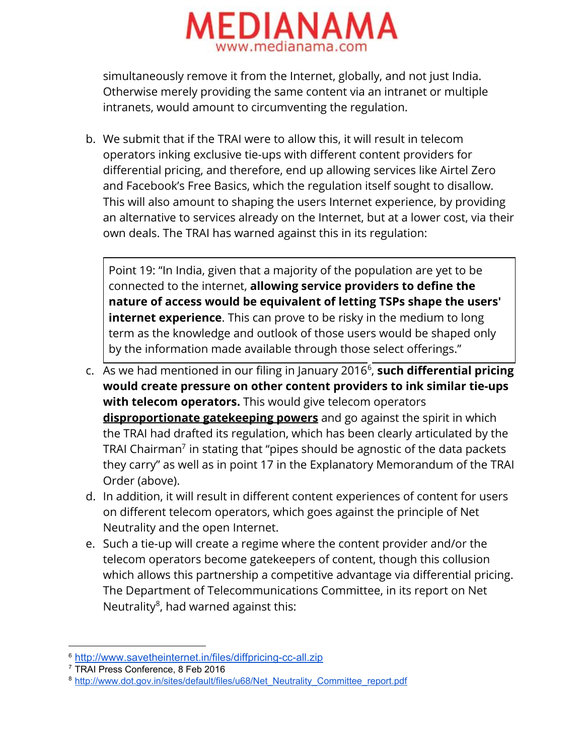

simultaneously remove it from the Internet, globally, and not just India. Otherwise merely providing the same content via an intranet or multiple intranets, would amount to circumventing the regulation.

b. We submit that if the TRAI were to allow this, it will result in telecom operators inking exclusive tie-ups with different content providers for differential pricing, and therefore, end up allowing services like Airtel Zero and Facebook's Free Basics, which the regulation itself sought to disallow. This will also amount to shaping the users Internet experience, by providing an alternative to services already on the Internet, but at a lower cost, via their own deals. The TRAI has warned against this in its regulation:

Point 19: "In India, given that a majority of the population are yet to be connected to the internet, **allowing service providers to define the nature of access would be equivalent of letting TSPs shape the users' internet experience**. This can prove to be risky in the medium to long term as the knowledge and outlook of those users would be shaped only by the information made available through those select offerings."

- c. As we had mentioned in our filing in January 2016<sup>6</sup>, such differential pricing **would create pressure on other content providers to ink similar tie-ups with telecom operators.**This would give telecom operators **disproportionate gatekeeping powers**and go against the spirit in which the TRAI had drafted its regulation, which has been clearly articulated by the TRAI Chairman $^7$  in stating that "pipes should be agnostic of the data packets they carry" as well as in point 17 in the Explanatory Memorandum of the TRAI Order (above).
- d. In addition, it will result in different content experiences of content for users on different telecom operators, which goes against the principle of Net Neutrality and the open Internet.
- e. Such a tie-up will create a regime where the content provider and/or the telecom operators become gatekeepers of content, though this collusion which allows this partnership a competitive advantage via differential pricing. The Department of Telecommunications Committee, in its report on Net Neutrality<sup>8</sup>, had warned against this:

<sup>&</sup>lt;sup>6</sup> http://www.savetheinternet.in/files/diffpricing-cc-all.zip

<sup>7</sup> TRAI Press Conference, 8 Feb 2016

<sup>&</sup>lt;sup>8</sup> [http://www.dot.gov.in/sites/default/files/u68/Net\\_Neutrality\\_Committee\\_report.pdf](http://www.dot.gov.in/sites/default/files/u68/Net_Neutrality_Committee_report.pdf)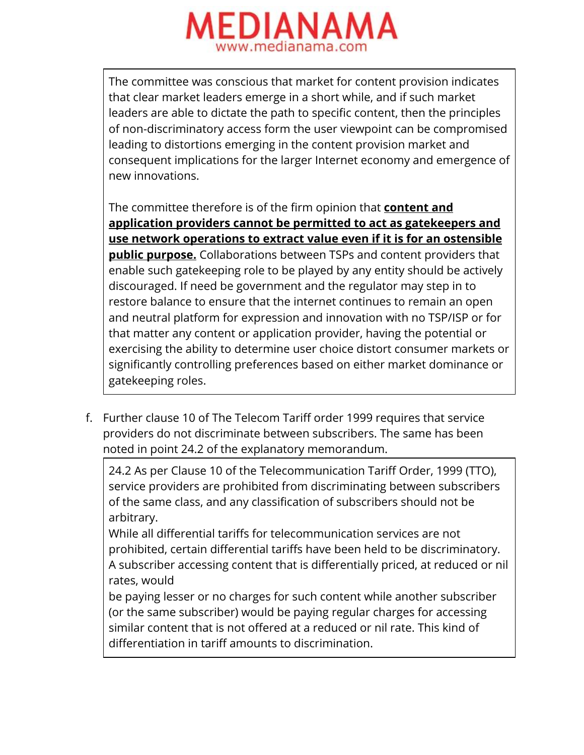

The committee was conscious that market for content provision indicates that clear market leaders emerge in a short while, and if such market leaders are able to dictate the path to specific content, then the principles of non-discriminatory access form the user viewpoint can be compromised leading to distortions emerging in the content provision market and consequent implications for the larger Internet economy and emergence of new innovations.

The committee therefore is of the firm opinion that **content and application providers cannot be permitted to act as gatekeepers and use network operations to extract value even if it is for an ostensible public purpose.** Collaborations between TSPs and content providers that enable such gatekeeping role to be played by any entity should be actively discouraged. If need be government and the regulator may step in to restore balance to ensure that the internet continues to remain an open and neutral platform for expression and innovation with no TSP/ISP or for that matter any content or application provider, having the potential or exercising the ability to determine user choice distort consumer markets or significantly controlling preferences based on either market dominance or gatekeeping roles.

f. Further clause 10 of The Telecom Tariff order 1999 requires that service providers do not discriminate between subscribers. The same has been noted in point 24.2 of the explanatory memorandum.

24.2 As per Clause 10 of the Telecommunication Tariff Order, 1999 (TTO), service providers are prohibited from discriminating between subscribers of the same class, and any classification of subscribers should not be arbitrary.

While all differential tariffs for telecommunication services are not prohibited, certain differential tariffs have been held to be discriminatory. A subscriber accessing content that is differentially priced, at reduced or nil rates, would

be paying lesser or no charges for such content while another subscriber (or the same subscriber) would be paying regular charges for accessing similar content that is not offered at a reduced or nil rate. This kind of differentiation in tariff amounts to discrimination.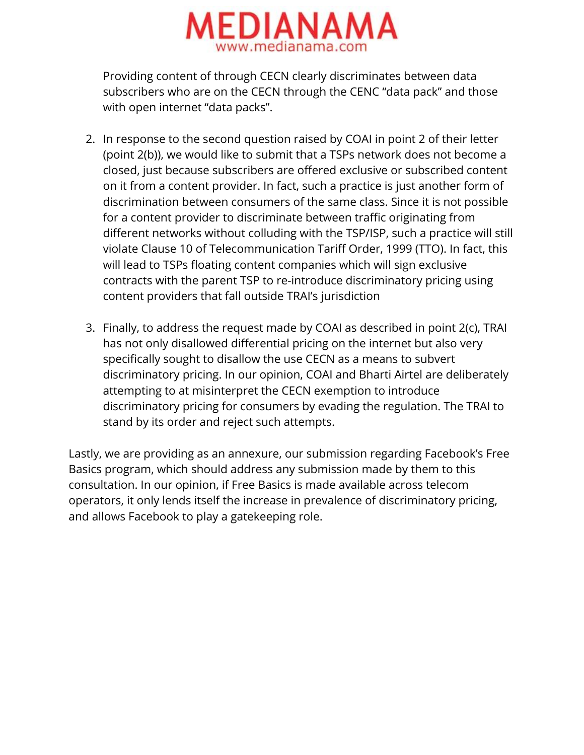

Providing content of through CECN clearly discriminates between data subscribers who are on the CECN through the CENC "data pack" and those with open internet "data packs".

- 2. In response to the second question raised by COAI in point 2 of their letter (point 2(b)), we would like to submit that a TSPs network does not become a closed, just because subscribers are offered exclusive or subscribed content on it from a content provider. In fact, such a practice is just another form of discrimination between consumers of the same class. Since it is not possible for a content provider to discriminate between traffic originating from different networks without colluding with the TSP/ISP, such a practice will still violate Clause 10 of Telecommunication Tariff Order, 1999 (TTO). In fact, this will lead to TSPs floating content companies which will sign exclusive contracts with the parent TSP to re-introduce discriminatory pricing using content providers that fall outside TRAI's jurisdiction
- 3. Finally, to address the request made by COAI as described in point 2(c), TRAI has not only disallowed differential pricing on the internet but also very specifically sought to disallow the use CECN as a means to subvert discriminatory pricing. In our opinion, COAI and Bharti Airtel are deliberately attempting to at misinterpret the CECN exemption to introduce discriminatory pricing for consumers by evading the regulation. The TRAI to stand by its order and reject such attempts.

Lastly, we are providing as an annexure, our submission regarding Facebook's Free Basics program, which should address any submission made by them to this consultation. In our opinion, if Free Basics is made available across telecom operators, it only lends itself the increase in prevalence of discriminatory pricing, and allows Facebook to play a gatekeeping role.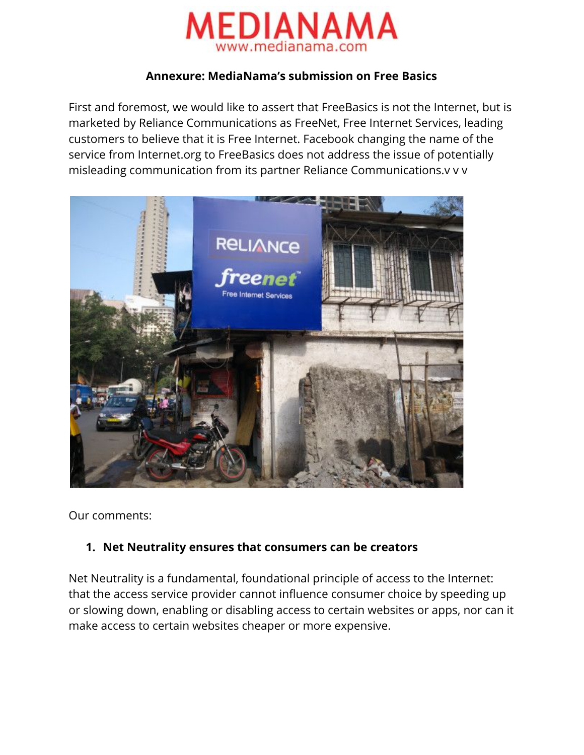

#### **Annexure: MediaNama's submission on Free Basics**

First and foremost, we would like to assert that FreeBasics is not the Internet, but is marketed by Reliance Communications as FreeNet, Free Internet Services, leading customers to believe that it is Free Internet. Facebook changing the name of the service from Internet.org to FreeBasics does not address the issue of potentially misleading communication from its partner Reliance Communications.v v v



Our comments:

### **1. Net Neutrality ensures that consumers can be creators**

Net Neutrality is a fundamental, foundational principle of access to the Internet: that the access service provider cannot influence consumer choice by speeding up or slowing down, enabling or disabling access to certain websites or apps, nor can it make access to certain websites cheaper or more expensive.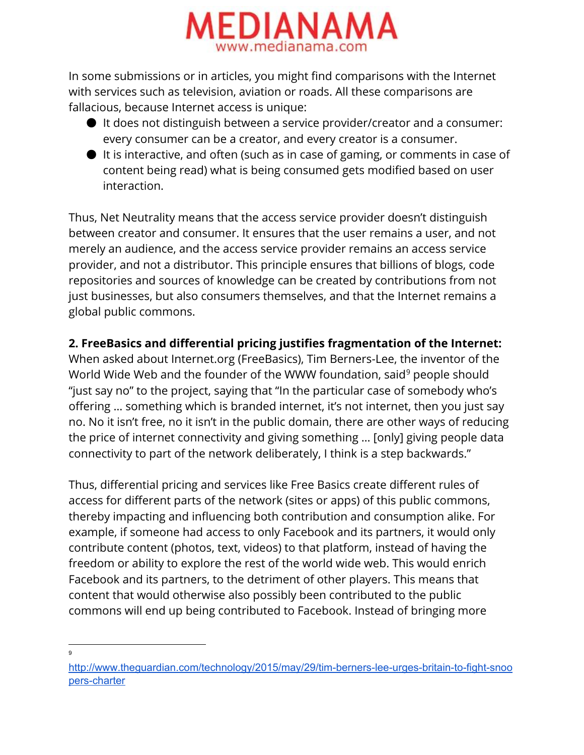

In some submissions or in articles, you might find comparisons with the Internet with services such as television, aviation or roads. All these comparisons are fallacious, because Internet access is unique:

- It does not distinguish between a service provider/creator and a consumer: every consumer can be a creator, and every creator is a consumer.
- It is interactive, and often (such as in case of gaming, or comments in case of content being read) what is being consumed gets modified based on user interaction.

Thus, Net Neutrality means that the access service provider doesn't distinguish between creator and consumer. It ensures that the user remains a user, and not merely an audience, and the access service provider remains an access service provider, and not a distributor. This principle ensures that billions of blogs, code repositories and sources of knowledge can be created by contributions from not just businesses, but also consumers themselves, and that the Internet remains a global public commons.

## **2. FreeBasics and differential pricing justifies fragmentation of the Internet:**

When asked about Internet.org (FreeBasics), Tim Berners-Lee, the inventor of the World Wide Web and the founder of the WWW foundation, said<sup>9</sup> people should "just say no" to the project, saying that "In the particular case of somebody who's offering … something which is branded internet, it's not internet, then you just say no. No it isn't free, no it isn't in the public domain, there are other ways of reducing the price of internet connectivity and giving something … [only] giving people data connectivity to part of the network deliberately, I think is a step backwards."

Thus, differential pricing and services like Free Basics create different rules of access for different parts of the network (sites or apps) of this public commons, thereby impacting and influencing both contribution and consumption alike. For example, if someone had access to only Facebook and its partners, it would only contribute content (photos, text, videos) to that platform, instead of having the freedom or ability to explore the rest of the world wide web. This would enrich Facebook and its partners, to the detriment of other players. This means that content that would otherwise also possibly been contributed to the public commons will end up being contributed to Facebook. Instead of bringing more

<sup>9</sup>

http://www.theguardian.com/technology/2015/may/29/tim-berners-lee-urges-britain-to-fight-snoo pers-charter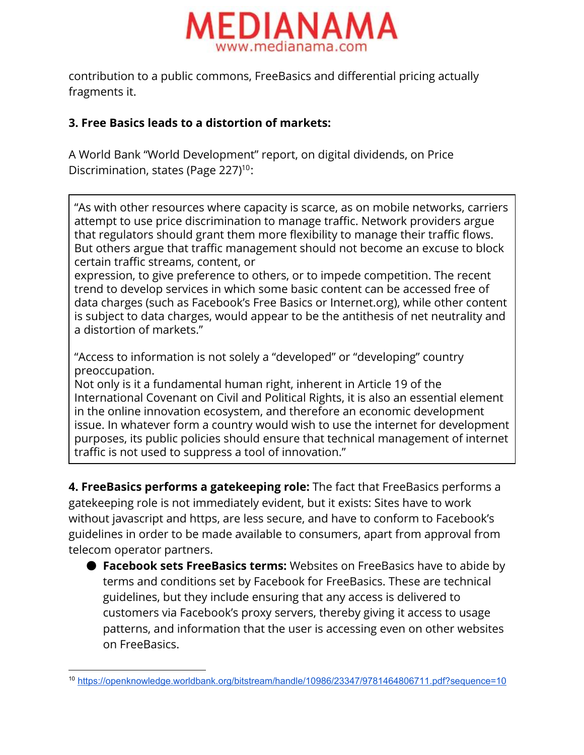

contribution to a public commons, FreeBasics and differential pricing actually fragments it.

# **3. Free Basics leads to a distortion of markets:**

A World Bank "World Development" report, on digital dividends, on Price Discrimination, states (Page 227) $10$ :

"As with other resources where capacity is scarce, as on mobile networks, carriers attempt to use price discrimination to manage traffic. Network providers argue that regulators should grant them more flexibility to manage their traffic flows. But others argue that traffic management should not become an excuse to block certain traffic streams, content, or

expression, to give preference to others, or to impede competition. The recent trend to develop services in which some basic content can be accessed free of data charges (such as Facebook's Free Basics or Internet.org), while other content is subject to data charges, would appear to be the antithesis of net neutrality and a distortion of markets."

"Access to information is not solely a "developed" or "developing" country preoccupation.

Not only is it a fundamental human right, inherent in Article 19 of the International Covenant on Civil and Political Rights, it is also an essential element in the online innovation ecosystem, and therefore an economic development issue. In whatever form a country would wish to use the internet for development purposes, its public policies should ensure that technical management of internet traffic is not used to suppress a tool of innovation."

**4. FreeBasics performs a gatekeeping role:** The fact that FreeBasics performs a gatekeeping role is not immediately evident, but it exists: Sites have to work without javascript and https, are less secure, and have to conform to Facebook's guidelines in order to be made available to consumers, apart from approval from telecom operator partners.

● **Facebook sets FreeBasics terms:** Websites on FreeBasics have to abide by terms and conditions set by Facebook for FreeBasics. These are technical guidelines, but they include ensuring that any access is delivered to customers via Facebook's proxy servers, thereby giving it access to usage patterns, and information that the user is accessing even on other websites on FreeBasics.

<sup>10</sup> <https://openknowledge.worldbank.org/bitstream/handle/10986/23347/9781464806711.pdf?sequence=10>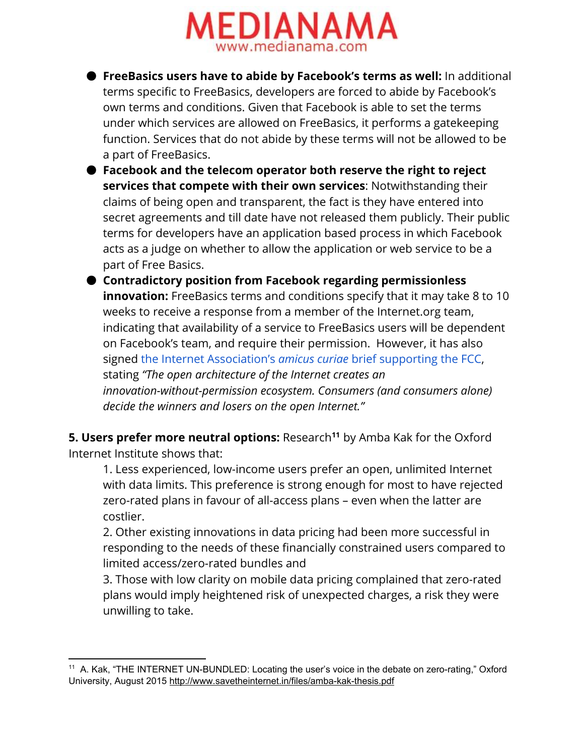

- **FreeBasics users have to abide by Facebook's terms as well:**In additional terms specific to FreeBasics, developers are forced to abide by Facebook's own terms and conditions. Given that Facebook is able to set the terms under which services are allowed on FreeBasics, it performs a gatekeeping function. Services that do not abide by these terms will not be allowed to be a part of FreeBasics.
- **Facebook and the telecom operator both reserve the right to reject services that compete with their own services**: Notwithstanding their claims of being open and transparent, the fact is they have entered into secret agreements and till date have not released them publicly. Their public terms for developers have an application based process in which Facebook acts as a judge on whether to allow the application or web service to be a part of Free Basics.
- **Contradictory position from Facebook regarding permissionless innovation:** FreeBasics terms and conditions specify that it may take 8 to 10 weeks to receive a response from a member of the Internet.org team, indicating that availability of a service to FreeBasics users will be dependent on Facebook's team, and require their permission. However, it has also signed the Internet [Association's](http://internetassociation.org/wp-content/uploads/2015/09/Internet-Association-Amicus-Curiae-Brief-in-Support-of-Open-Internet-Rules-9-20-15.pdf) *[amicus](http://internetassociation.org/wp-content/uploads/2015/09/Internet-Association-Amicus-Curiae-Brief-in-Support-of-Open-Internet-Rules-9-20-15.pdf) curiae* brief [supporting](http://internetassociation.org/wp-content/uploads/2015/09/Internet-Association-Amicus-Curiae-Brief-in-Support-of-Open-Internet-Rules-9-20-15.pdf) the FCC, stating *"The open architecture of the Internet creates an innovation-without-permission ecosystem. Consumers (and consumers alone) decide the winners and losers on the open Internet."*

**5. Users prefer more neutral options:** Research<sup>11</sup> by Amba Kak for the Oxford Internet Institute shows that:

1. Less experienced, low-income users prefer an open, unlimited Internet with data limits. This preference is strong enough for most to have rejected zero-rated plans in favour of all-access plans – even when the latter are costlier.

2. Other existing innovations in data pricing had been more successful in responding to the needs of these financially constrained users compared to limited access/zero-rated bundles and

3. Those with low clarity on mobile data pricing complained that zero-rated plans would imply heightened risk of unexpected charges, a risk they were unwilling to take.

<sup>&</sup>lt;sup>11</sup> A. Kak, "THE INTERNET UN-BUNDLED: Locating the user's voice in the debate on zero-rating," Oxford University, August 2015 http://www.savetheinternet.in/files/amba-kak-thesis.pdf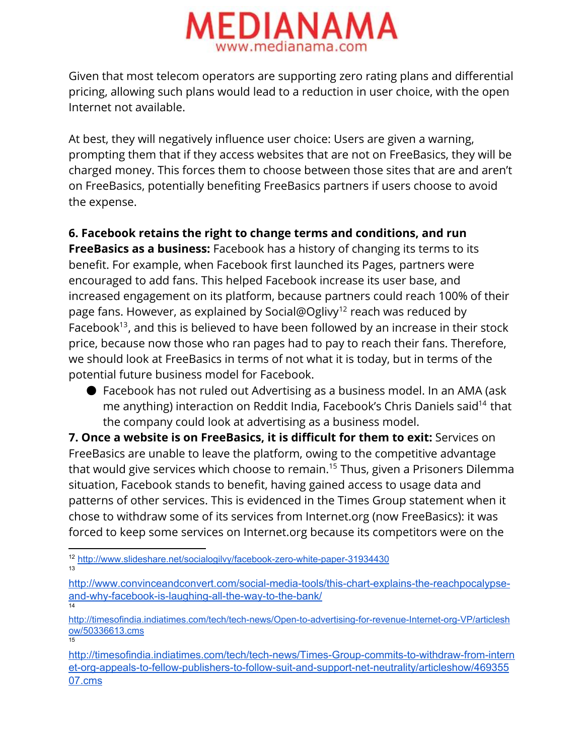

Given that most telecom operators are supporting zero rating plans and differential pricing, allowing such plans would lead to a reduction in user choice, with the open Internet not available.

At best, they will negatively influence user choice: Users are given a warning, prompting them that if they access websites that are not on FreeBasics, they will be charged money. This forces them to choose between those sites that are and aren't on FreeBasics, potentially benefiting FreeBasics partners if users choose to avoid the expense.

# **6. Facebook retains the right to change terms and conditions, and run**

**FreeBasics as a business:**Facebook has a history of changing its terms to its benefit. For example, when Facebook first launched its Pages, partners were encouraged to add fans. This helped Facebook increase its user base, and increased engagement on its platform, because partners could reach 100% of their page fans. However, as explained by Social@Oglivy<sup>12</sup> reach was reduced by Facebook<sup>13</sup>, and this is believed to have been followed by an increase in their stock price, because now those who ran pages had to pay to reach their fans. Therefore, we should look at FreeBasics in terms of not what it is today, but in terms of the potential future business model for Facebook.

● Facebook has not ruled out Advertising as a business model. In an AMA (ask me anything) interaction on Reddit India, Facebook's Chris Daniels said<sup>14</sup> that the company could look at advertising as a business model.

**7. Once a website is on FreeBasics, it is difficult for them to exit:**Services on FreeBasics are unable to leave the platform, owing to the competitive advantage that would give services which choose to remain.<sup>15</sup> Thus, given a Prisoners Dilemma situation, Facebook stands to benefit, having gained access to usage data and patterns of other services. This is evidenced in the Times Group statement when it chose to withdraw some of its services from Internet.org (now FreeBasics): it was forced to keep some services on Internet.org because its competitors were on the

http://www.convinceandconvert.com/social-media-tools/this-chart-explains-the-reachpocalypseand-why-facebook-is-laughing-all-the-way-to-the-bank/ 14

http://timesofindia.indiatimes.com/tech/tech-news/Open-to-advertising-for-revenue-Internet-org-VP/articlesh [ow/50336613.cms](http://timesofindia.indiatimes.com/tech/tech-news/Open-to-advertising-for-revenue-Internet-org-VP/articleshow/50336613.cms) 15

http://timesofindia.indiatimes.com/tech/tech-news/Times-Group-commits-to-withdraw-from-intern et-org-appeals-to-fellow-publishers-to-follow-suit-and-support-net-neutrality/articleshow/469355 [07.cms](http://timesofindia.indiatimes.com/tech/tech-news/Times-Group-commits-to-withdraw-from-internet-org-appeals-to-fellow-publishers-to-follow-suit-and-support-net-neutrality/articleshow/46935507.cms)

<sup>&</sup>lt;sup>12</sup> http://www.slideshare.net/socialogilvy/facebook-zero-white-paper-31934430 13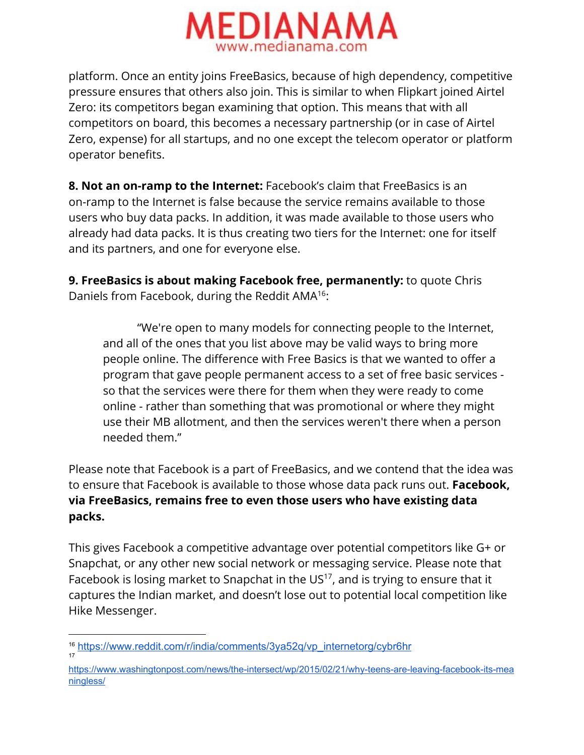

platform. Once an entity joins FreeBasics, because of high dependency, competitive pressure ensures that others also join. This is similar to when Flipkart joined Airtel Zero: its competitors began examining that option. This means that with all competitors on board, this becomes a necessary partnership (or in case of Airtel Zero, expense) for all startups, and no one except the telecom operator or platform operator benefits.

**8. Not an on-ramp to the Internet:**Facebook's claim that FreeBasics is an on-ramp to the Internet is false because the service remains available to those users who buy data packs. In addition, it was made available to those users who already had data packs. It is thus creating two tiers for the Internet: one for itself and its partners, and one for everyone else.

**9. FreeBasics is about making Facebook free, permanently:**to quote Chris Daniels from Facebook, during the Reddit AMA<sup>16</sup>:

"We're open to many models for connecting people to the Internet, and all of the ones that you list above may be valid ways to bring more people online. The difference with Free Basics is that we wanted to offer a program that gave people permanent access to a set of free basic services so that the services were there for them when they were ready to come online - rather than something that was promotional or where they might use their MB allotment, and then the services weren't there when a person needed them."

Please note that Facebook is a part of FreeBasics, and we contend that the idea was to ensure that Facebook is available to those whose data pack runs out. **Facebook, via FreeBasics, remains free to even those users who have existing data packs.**

This gives Facebook a competitive advantage over potential competitors like G+ or Snapchat, or any other new social network or messaging service. Please note that Facebook is losing market to Snapchat in the  $US^{17}$ , and is trying to ensure that it captures the Indian market, and doesn't lose out to potential local competition like Hike Messenger.

<sup>16</sup> [https://www.reddit.com/r/india/comments/3ya52q/vp\\_internetorg/cybr6hr](https://www.reddit.com/r/india/comments/3ya52q/vp_internetorg/cybr6hr) 17

https://www.washingtonpost.com/news/the-intersect/wp/2015/02/21/why-teens-are-leaving-facebook-its-mea [ningless/](https://www.washingtonpost.com/news/the-intersect/wp/2015/02/21/why-teens-are-leaving-facebook-its-meaningless/)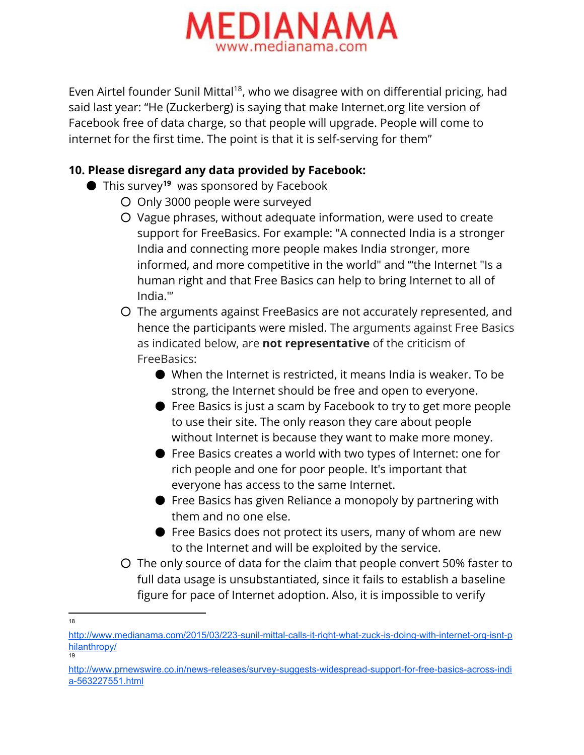

Even Airtel founder Sunil Mittal<sup>18</sup>, who we disagree with on differential pricing, had said last year: "He (Zuckerberg) is saying that make Internet.org lite version of Facebook free of data charge, so that people will upgrade. People will come to internet for the first time. The point is that it is self-serving for them"

## **10. Please disregard any data provided by Facebook:**

- This survey<sup>19</sup> was sponsored by Facebook
	- Only 3000 people were surveyed
	- Vague phrases, without adequate information, were used to create support for FreeBasics. For example: "A connected India is a stronger India and connecting more people makes India stronger, more informed, and more competitive in the world" and '"the Internet "Is a human right and that Free Basics can help to bring Internet to all of India."'
	- The arguments against FreeBasics are not accurately represented, and hence the participants were misled. The arguments against Free Basics as indicated below, are **not representative**of the criticism of FreeBasics:
		- When the Internet is restricted, it means India is weaker. To be strong, the Internet should be free and open to everyone.
		- Free Basics is just a scam by Facebook to try to get more people to use their site. The only reason they care about people without Internet is because they want to make more money.
		- Free Basics creates a world with two types of Internet: one for rich people and one for poor people. It's important that everyone has access to the same Internet.
		- Free Basics has given Reliance a monopoly by partnering with them and no one else.
		- Free Basics does not protect its users, many of whom are new to the Internet and will be exploited by the service.
	- The only source of data for the claim that people convert 50% faster to full data usage is unsubstantiated, since it fails to establish a baseline figure for pace of Internet adoption. Also, it is impossible to verify
- 18

http://www.medianama.com/2015/03/223-sunil-mittal-calls-it-right-what-zuck-is-doing-with-internet-org-isnt-p [hilanthropy/](http://www.medianama.com/2015/03/223-sunil-mittal-calls-it-right-what-zuck-is-doing-with-internet-org-isnt-philanthropy/) 19

http://www.prnewswire.co.in/news-releases/survey-suggests-widespread-support-for-free-basics-across-indi a-563227551.html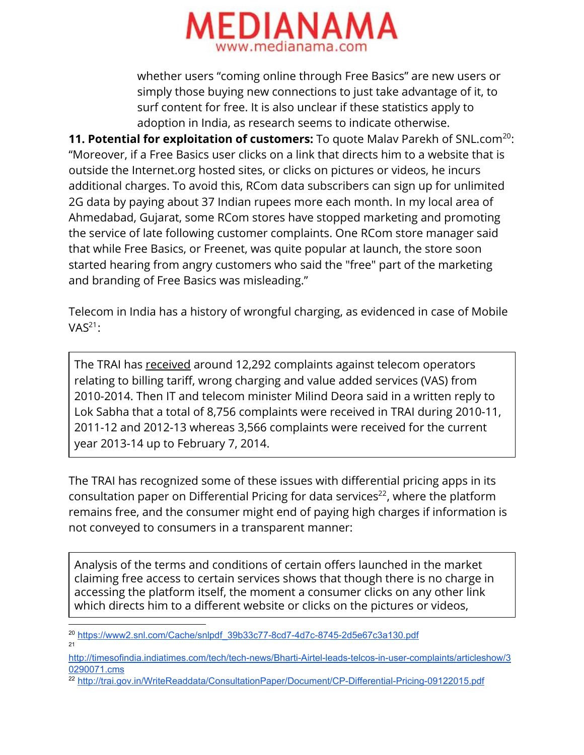

whether users "coming online through Free Basics" are new users or simply those buying new connections to just take advantage of it, to surf content for free. It is also unclear if these statistics apply to adoption in India, as research seems to indicate otherwise.

**11. Potential for exploitation of customers:** To quote Malav Parekh of SNL.com<sup>20</sup>: "Moreover, if a Free Basics user clicks on a link that directs him to a website that is outside the Internet.org hosted sites, or clicks on pictures or videos, he incurs additional charges. To avoid this, RCom data subscribers can sign up for unlimited 2G data by paying about 37 Indian rupees more each month. In my local area of Ahmedabad, Gujarat, some RCom stores have stopped marketing and promoting the service of late following customer complaints. One RCom store manager said that while Free Basics, or Freenet, was quite popular at launch, the store soon started hearing from angry customers who said the "free" part of the marketing and branding of Free Basics was misleading."

Telecom in India has a history of wrongful charging, as evidenced in case of Mobile  $VAS<sup>21</sup>$ :

The TRAI has [received](http://timesofindia.indiatimes.com/tech/tech-news/Bharti-Airtel-leads-telcos-in-user-complaints/articleshow/30290071.cms) around 12,292 complaints against telecom operators relating to billing tariff, wrong charging and value added services (VAS) from 2010-2014. Then IT and telecom minister Milind Deora said in a written reply to Lok Sabha that a total of 8,756 complaints were received in TRAI during 2010-11, 2011-12 and 2012-13 whereas 3,566 complaints were received for the current year 2013-14 up to February 7, 2014.

The TRAI has recognized some of these issues with differential pricing apps in its consultation paper on Differential Pricing for data services 22 , where the platform remains free, and the consumer might end of paying high charges if information is not conveyed to consumers in a transparent manner:

Analysis of the terms and conditions of certain offers launched in the market claiming free access to certain services shows that though there is no charge in accessing the platform itself, the moment a consumer clicks on any other link which directs him to a different website or clicks on the pictures or videos,

<sup>&</sup>lt;sup>20</sup> https://www2.snl.com/Cache/snlpdf\_39b33c77-8cd7-4d7c-8745-2d5e67c3a130.pdf 21

http://timesofindia.indiatimes.com/tech/tech-news/Bharti-Airtel-leads-telcos-in-user-complaints/articleshow/3 [0290071.cms](http://timesofindia.indiatimes.com/tech/tech-news/Bharti-Airtel-leads-telcos-in-user-complaints/articleshow/30290071.cms)

<sup>&</sup>lt;sup>22</sup> http://trai.gov.in/WriteReaddata/ConsultationPaper/Document/CP-Differential-Pricing-09122015.pdf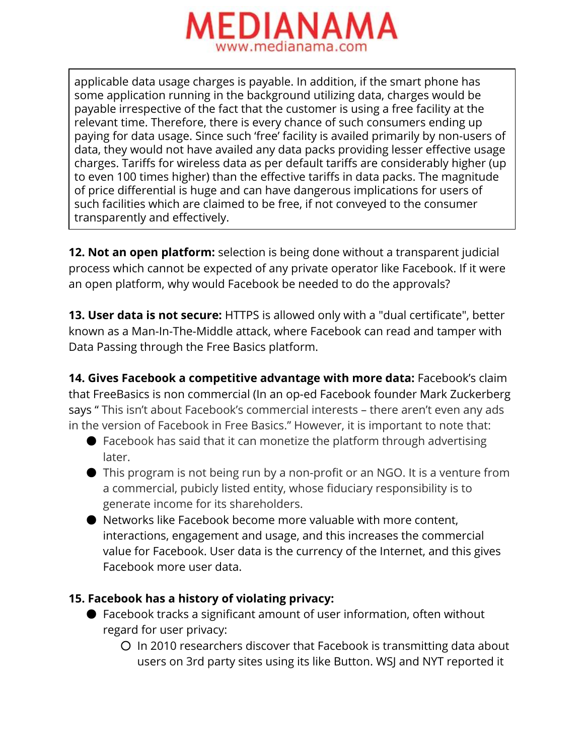

applicable data usage charges is payable. In addition, if the smart phone has some application running in the background utilizing data, charges would be payable irrespective of the fact that the customer is using a free facility at the relevant time. Therefore, there is every chance of such consumers ending up paying for data usage. Since such 'free' facility is availed primarily by non-users of data, they would not have availed any data packs providing lesser effective usage charges. Tariffs for wireless data as per default tariffs are considerably higher (up to even 100 times higher) than the effective tariffs in data packs. The magnitude of price differential is huge and can have dangerous implications for users of such facilities which are claimed to be free, if not conveyed to the consumer transparently and effectively.

**12. Not an open platform:**selection is being done without a transparent judicial process which cannot be expected of any private operator like Facebook. If it were an open platform, why would Facebook be needed to do the approvals?

**13. User data is not secure:** HTTPS is allowed only with a "dual certificate", better known as a Man-In-The-Middle attack, where Facebook can read and tamper with Data Passing through the Free Basics platform.

**14. Gives Facebook a competitive advantage with more data:**Facebook's claim that FreeBasics is non commercial (In an op-ed Facebook founder Mark Zuckerberg says " This isn't about Facebook's commercial interests – there aren't even any ads in the version of Facebook in Free Basics." However, it is important to note that:

- $\bullet$  Facebook has said that it can monetize the platform through advertising later.
- This program is not being run by a non-profit or an NGO. It is a venture from a commercial, pubicly listed entity, whose fiduciary responsibility is to generate income for its shareholders.
- Networks like Facebook become more valuable with more content, interactions, engagement and usage, and this increases the commercial value for Facebook. User data is the currency of the Internet, and this gives Facebook more user data.

### **15. Facebook has a history of violating privacy:**

- Facebook tracks a significant amount of user information, often without regard for user privacy:
	- In 2010 researchers discover that Facebook is transmitting data about users on 3rd party sites using its like Button. WSJ and NYT reported it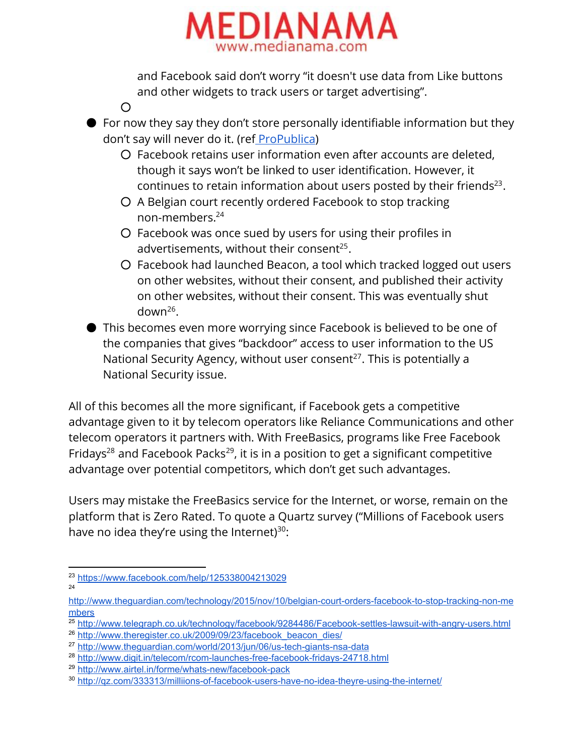

and Facebook said don't worry "it doesn't use data from Like buttons and other widgets to track users or target advertising".

- For now they say they don't store personally identifiable information but they don't say will never do it. (ref [ProPublica\)](https://www.propublica.org/article/its-complicated-facebooks-history-of-tracking-you)
	- Facebook retains user information even after accounts are deleted, though it says won't be linked to user identification. However, it continues to retain information about users posted by their friends $^{23}$ .
	- A Belgian court recently ordered Facebook to stop tracking non-members. 24
	- Facebook was once sued by users for using their profiles in advertisements, without their consent $^{25}$ .
	- Facebook had launched Beacon, a tool which tracked logged out users on other websites, without their consent, and published their activity on other websites, without their consent. This was eventually shut  $down<sup>26</sup>$ .
- This becomes even more worrying since Facebook is believed to be one of the companies that gives "backdoor" access to user information to the US National Security Agency, without user consent<sup>27</sup>. This is potentially a National Security issue.

All of this becomes all the more significant, if Facebook gets a competitive advantage given to it by telecom operators like Reliance Communications and other telecom operators it partners with. With FreeBasics, programs like Free Facebook Fridays<sup>28</sup> and Facebook Packs<sup>29</sup>, it is in a position to get a significant competitive advantage over potential competitors, which don't get such advantages.

Users may mistake the FreeBasics service for the Internet, or worse, remain on the platform that is Zero Rated. To quote a Quartz survey ("Millions of Facebook users have no idea they're using the Internet) $30$ :

 $\overline{O}$ 

<sup>23</sup> <https://www.facebook.com/help/125338004213029> 24

http://www.theguardian.com/technology/2015/nov/10/belgian-court-orders-facebook-to-stop-tracking-non-me [mbers](http://www.theguardian.com/technology/2015/nov/10/belgian-court-orders-facebook-to-stop-tracking-non-members)

<sup>&</sup>lt;sup>25</sup> http://www.telegraph.co.uk/technology/facebook/9284486/Facebook-settles-lawsuit-with-angry-users.html

<sup>&</sup>lt;sup>26</sup> [http://www.theregister.co.uk/2009/09/23/facebook\\_beacon\\_dies/](http://www.theregister.co.uk/2009/09/23/facebook_beacon_dies/)

<sup>&</sup>lt;sup>27</sup> http://www.theguardian.com/world/2013/jun/06/us-tech-giants-nsa-data

<sup>&</sup>lt;sup>28</sup> http://www.digit.in/telecom/rcom-launches-free-facebook-fridays-24718.html

<sup>&</sup>lt;sup>29</sup> http://www.airtel.in/forme/whats-new/facebook-pack

<sup>30</sup> http://qz.com/333313/milliions-of-facebook-users-have-no-idea-theyre-using-the-internet/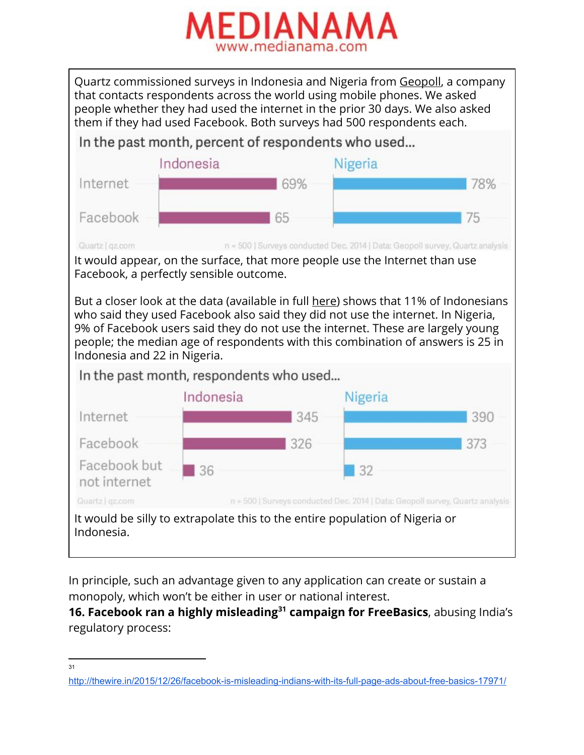

Quartz commissioned surveys in Indonesia and Nigeria from [Geopoll,](http://research.geopoll.com/) a company that contacts respondents across the world using mobile phones. We asked people whether they had used the internet in the prior 30 days. We also asked them if they had used Facebook. Both surveys had 500 respondents each.

In the past month, percent of respondents who used...



Quartz | gz.com

n = 500 | Surveys conducted Dec. 2014 | Data: Geopoll survey, Quartz analysis

It would appear, on the surface, that more people use the Internet than use Facebook, a perfectly sensible outcome.

But a closer look at the data (available in full [here\)](https://drive.google.com/folderview?id=0B4ZVQwBvLAEgQ1dpQ3VycDVTYkk&usp=sharing) shows that 11% of Indonesians who said they used Facebook also said they did not use the internet. In Nigeria, 9% of Facebook users said they do not use the internet. These are largely young people; the median age of respondents with this combination of answers is 25 in Indonesia and 22 in Nigeria.

In the past month, respondents who used...



In principle, such an advantage given to any application can create or sustain a monopoly, which won't be either in user or national interest.

**16. Facebook ran a highly misleading campaign for FreeBasics**, abusing India's **31** regulatory process:

<sup>31</sup>

http://thewire.in/2015/12/26/facebook-is-misleading-indians-with-its-full-page-ads-about-free-basics-17971/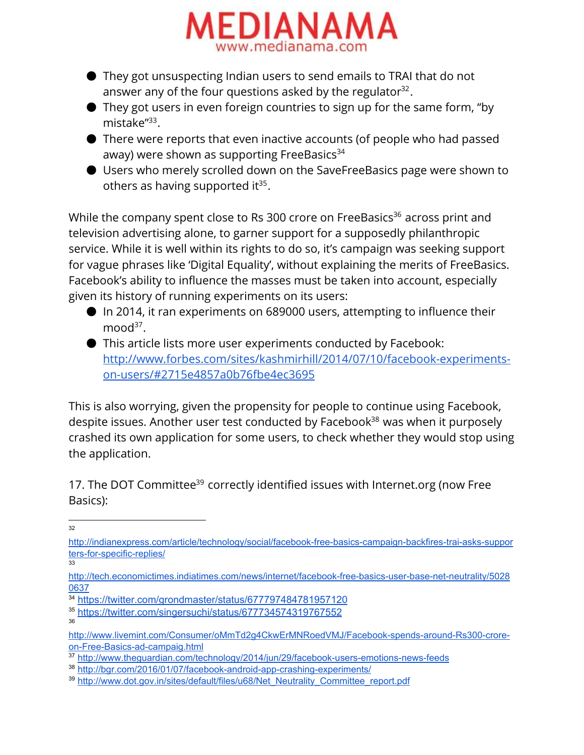

- They got unsuspecting Indian users to send emails to TRAI that do not answer any of the four questions asked by the regulator $^{32}$ .
- They got users in even foreign countries to sign up for the same form, "by mistake"<sup>33</sup>.
- There were reports that even inactive accounts (of people who had passed away) were shown as supporting FreeBasics<sup>34</sup>
- Users who merely scrolled down on the SaveFreeBasics page were shown to others as having supported it $35$ .

While the company spent close to Rs 300 crore on FreeBasics $^{36}$  across print and television advertising alone, to garner support for a supposedly philanthropic service. While it is well within its rights to do so, it's campaign was seeking support for vague phrases like 'Digital Equality', without explaining the merits of FreeBasics. Facebook's ability to influence the masses must be taken into account, especially given its history of running experiments on its users:

- In 2014, it ran experiments on 689000 users, attempting to influence their  $mod^{37}$ .
- This article lists more user experiments conducted by Facebook: [http://www.forbes.com/sites/kashmirhill/2014/07/10/facebook-experiments](http://www.forbes.com/sites/kashmirhill/2014/07/10/facebook-experiments-on-users/#2715e4857a0b76fbe4ec3695)[on-users/#2715e4857a0b76fbe4ec3695](http://www.forbes.com/sites/kashmirhill/2014/07/10/facebook-experiments-on-users/#2715e4857a0b76fbe4ec3695)

This is also worrying, given the propensity for people to continue using Facebook, despite issues. Another user test conducted by Facebook<sup>38</sup> was when it purposely crashed its own application for some users, to check whether they would stop using the application.

17. The DOT Committee<sup>39</sup> correctly identified issues with Internet.org (now Free Basics):

33

36

<sup>32</sup>

http://indianexpress.com/article/technology/social/facebook-free-basics-campaign-backfires-trai-asks-suppor ters-for-specific-replies/

http://tech.economictimes.indiatimes.com/news/internet/facebook-free-basics-user-base-net-neutrality/5028 [0637](http://tech.economictimes.indiatimes.com/news/internet/facebook-free-basics-user-base-net-neutrality/50280637)

<sup>34</sup> <https://twitter.com/grondmaster/status/677797484781957120>

<sup>35</sup> <https://twitter.com/singersuchi/status/677734574319767552>

http://www.livemint.com/Consumer/oMmTd2g4CkwErMNRoedVMJ/Facebook-spends-around-Rs300-croreon-Free-Basics-ad-campaig.html

<sup>37</sup> http://www.theguardian.com/technology/2014/jun/29/facebook-users-emotions-news-feeds

<sup>38</sup> http://bgr.com/2016/01/07/facebook-android-app-crashing-experiments/

<sup>&</sup>lt;sup>39</sup> [http://www.dot.gov.in/sites/default/files/u68/Net\\_Neutrality\\_Committee\\_report.pdf](http://www.dot.gov.in/sites/default/files/u68/Net_Neutrality_Committee_report.pdf)